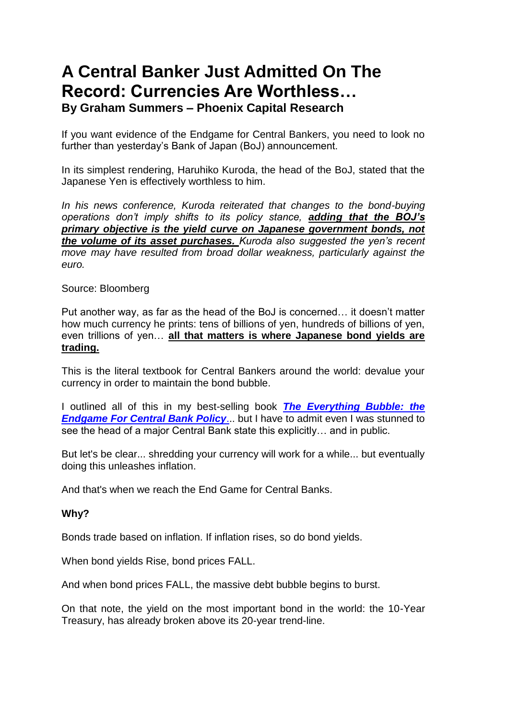# **A Central Banker Just Admitted On The Record: Currencies Are Worthless…**

# **By Graham Summers – Phoenix Capital Research**

If you want evidence of the Endgame for Central Bankers, you need to look no further than yesterday's Bank of Japan (BoJ) announcement.

In its simplest rendering, Haruhiko Kuroda, the head of the BoJ, stated that the Japanese Yen is effectively worthless to him.

*In his news conference, Kuroda reiterated that changes to the bond-buying operations don't imply shifts to its policy stance, adding that the BOJ's primary objective is the yield curve on Japanese government bonds, not the volume of its asset purchases. Kuroda also suggested the yen's recent move may have resulted from broad dollar weakness, particularly against the euro.*

#### Source: Bloomberg

Put another way, as far as the head of the BoJ is concerned… it doesn't matter how much currency he prints: tens of billions of yen, hundreds of billions of yen, even trillions of yen… **all that matters is where Japanese bond yields are trading.**

This is the literal textbook for Central Bankers around the world: devalue your currency in order to maintain the bond bubble.

I outlined all of this in my best-selling book *[The Everything Bubble:](https://www.amazon.com/dp/197463406X/) the [Endgame For Central Bank Policy](https://www.amazon.com/dp/197463406X/)...* but I have to admit even I was stunned to see the head of a major Central Bank state this explicitly… and in public.

But let's be clear... shredding your currency will work for a while... but eventually doing this unleashes inflation.

And that's when we reach the End Game for Central Banks.

## **Why?**

Bonds trade based on inflation. If inflation rises, so do bond yields.

When bond yields Rise, bond prices FALL.

And when bond prices FALL, the massive debt bubble begins to burst.

On that note, the yield on the most important bond in the world: the 10-Year Treasury, has already broken above its 20-year trend-line.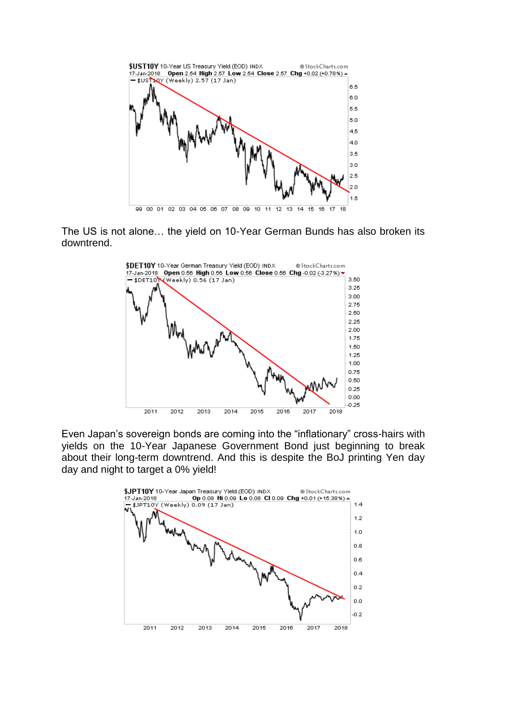

The US is not alone… the yield on 10-Year German Bunds has also broken its downtrend.



Even Japan's sovereign bonds are coming into the "inflationary" cross-hairs with yields on the 10-Year Japanese Government Bond just beginning to break about their long-term downtrend. And this is despite the BoJ printing Yen day day and night to target a 0% yield!